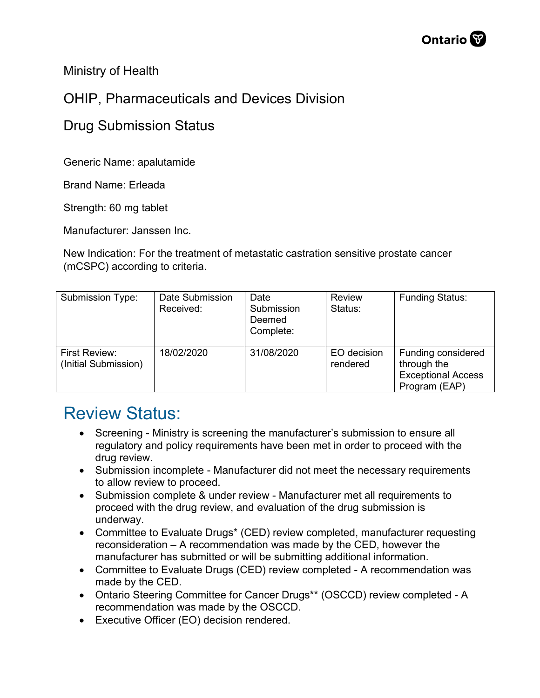Ministry of Health

## OHIP, Pharmaceuticals and Devices Division

## Drug Submission Status

Generic Name: apalutamide

Brand Name: Erleada

Strength: 60 mg tablet

Manufacturer: Janssen Inc.

New Indication: For the treatment of metastatic castration sensitive prostate cancer (mCSPC) according to criteria.

| Submission Type:                      | Date Submission<br>Received: | Date<br>Submission<br>Deemed<br>Complete: | <b>Review</b><br>Status: | <b>Funding Status:</b>                                                          |
|---------------------------------------|------------------------------|-------------------------------------------|--------------------------|---------------------------------------------------------------------------------|
| First Review:<br>(Initial Submission) | 18/02/2020                   | 31/08/2020                                | EO decision<br>rendered  | Funding considered<br>through the<br><b>Exceptional Access</b><br>Program (EAP) |

## Review Status:

- Screening Ministry is screening the manufacturer's submission to ensure all regulatory and policy requirements have been met in order to proceed with the drug review.
- Submission incomplete Manufacturer did not meet the necessary requirements to allow review to proceed.
- Submission complete & under review Manufacturer met all requirements to proceed with the drug review, and evaluation of the drug submission is underway.
- Committee to Evaluate Drugs\* (CED) review completed, manufacturer requesting reconsideration – A recommendation was made by the CED, however the manufacturer has submitted or will be submitting additional information.
- Committee to Evaluate Drugs (CED) review completed A recommendation was made by the CED.
- Ontario Steering Committee for Cancer Drugs\*\* (OSCCD) review completed A recommendation was made by the OSCCD.
- Executive Officer (EO) decision rendered.